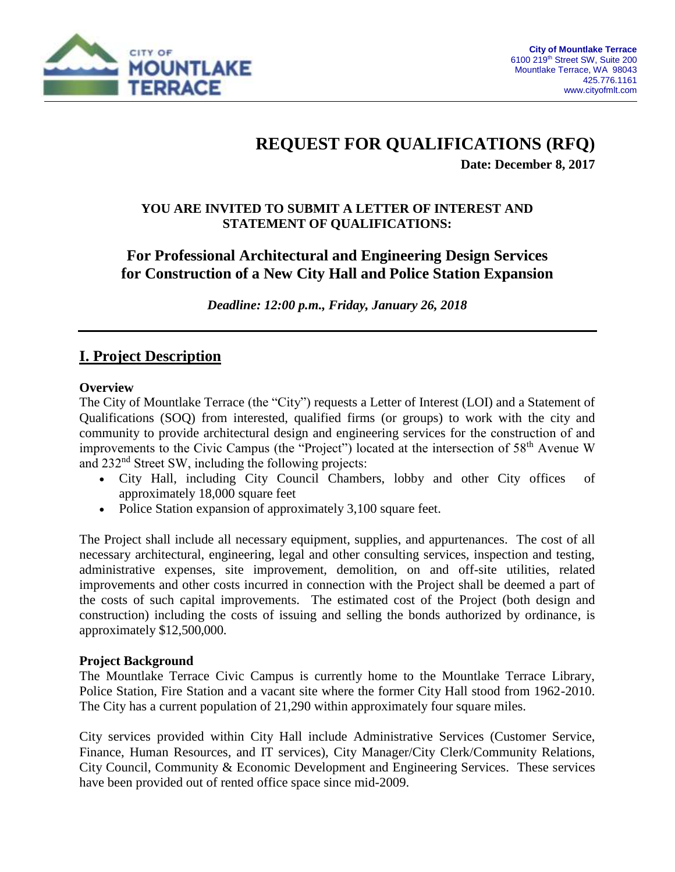

## **REQUEST FOR QUALIFICATIONS (RFQ)**

**Date: December 8, 2017**

#### **YOU ARE INVITED TO SUBMIT A LETTER OF INTEREST AND STATEMENT OF QUALIFICATIONS:**

## **For Professional Architectural and Engineering Design Services for Construction of a New City Hall and Police Station Expansion**

*Deadline: 12:00 p.m., Friday, January 26, 2018*

## **I. Project Description**

#### **Overview**

The City of Mountlake Terrace (the "City") requests a Letter of Interest (LOI) and a Statement of Qualifications (SOQ) from interested, qualified firms (or groups) to work with the city and community to provide architectural design and engineering services for the construction of and improvements to the Civic Campus (the "Project") located at the intersection of 58<sup>th</sup> Avenue W and 232nd Street SW, including the following projects:

- City Hall, including City Council Chambers, lobby and other City offices of approximately 18,000 square feet
- Police Station expansion of approximately 3,100 square feet.

The Project shall include all necessary equipment, supplies, and appurtenances. The cost of all necessary architectural, engineering, legal and other consulting services, inspection and testing, administrative expenses, site improvement, demolition, on and off-site utilities, related improvements and other costs incurred in connection with the Project shall be deemed a part of the costs of such capital improvements. The estimated cost of the Project (both design and construction) including the costs of issuing and selling the bonds authorized by ordinance, is approximately \$12,500,000.

#### **Project Background**

The Mountlake Terrace Civic Campus is currently home to the Mountlake Terrace Library, Police Station, Fire Station and a vacant site where the former City Hall stood from 1962-2010. The City has a current population of 21,290 within approximately four square miles.

City services provided within City Hall include Administrative Services (Customer Service, Finance, Human Resources, and IT services), City Manager/City Clerk/Community Relations, City Council, Community & Economic Development and Engineering Services. These services have been provided out of rented office space since mid-2009.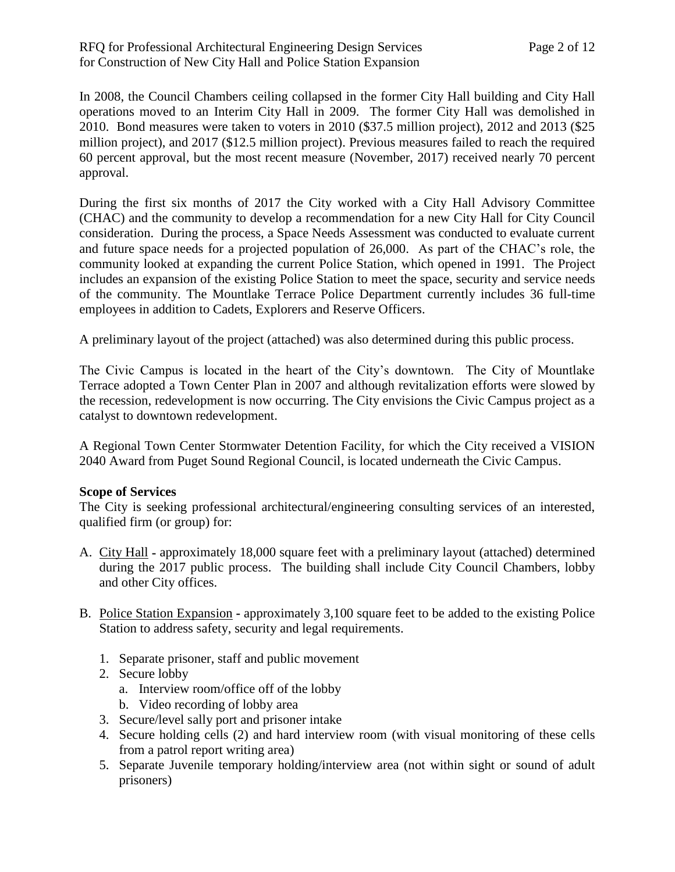In 2008, the Council Chambers ceiling collapsed in the former City Hall building and City Hall operations moved to an Interim City Hall in 2009. The former City Hall was demolished in 2010. Bond measures were taken to voters in 2010 (\$37.5 million project), 2012 and 2013 (\$25 million project), and 2017 (\$12.5 million project). Previous measures failed to reach the required 60 percent approval, but the most recent measure (November, 2017) received nearly 70 percent approval.

During the first six months of 2017 the City worked with a City Hall Advisory Committee (CHAC) and the community to develop a recommendation for a new City Hall for City Council consideration. During the process, a Space Needs Assessment was conducted to evaluate current and future space needs for a projected population of 26,000. As part of the CHAC's role, the community looked at expanding the current Police Station, which opened in 1991. The Project includes an expansion of the existing Police Station to meet the space, security and service needs of the community. The Mountlake Terrace Police Department currently includes 36 full-time employees in addition to Cadets, Explorers and Reserve Officers.

A preliminary layout of the project (attached) was also determined during this public process.

The Civic Campus is located in the heart of the City's downtown. The City of Mountlake Terrace adopted a Town Center Plan in 2007 and although revitalization efforts were slowed by the recession, redevelopment is now occurring. The City envisions the Civic Campus project as a catalyst to downtown redevelopment.

A Regional Town Center Stormwater Detention Facility, for which the City received a VISION 2040 Award from Puget Sound Regional Council, is located underneath the Civic Campus.

#### **Scope of Services**

The City is seeking professional architectural/engineering consulting services of an interested, qualified firm (or group) for:

- A. City Hall **-** approximately 18,000 square feet with a preliminary layout (attached) determined during the 2017 public process. The building shall include City Council Chambers, lobby and other City offices.
- B. Police Station Expansion **-** approximately 3,100 square feet to be added to the existing Police Station to address safety, security and legal requirements.
	- 1. Separate prisoner, staff and public movement
	- 2. Secure lobby
		- a. Interview room/office off of the lobby
		- b. Video recording of lobby area
	- 3. Secure/level sally port and prisoner intake
	- 4. Secure holding cells (2) and hard interview room (with visual monitoring of these cells from a patrol report writing area)
	- 5. Separate Juvenile temporary holding/interview area (not within sight or sound of adult prisoners)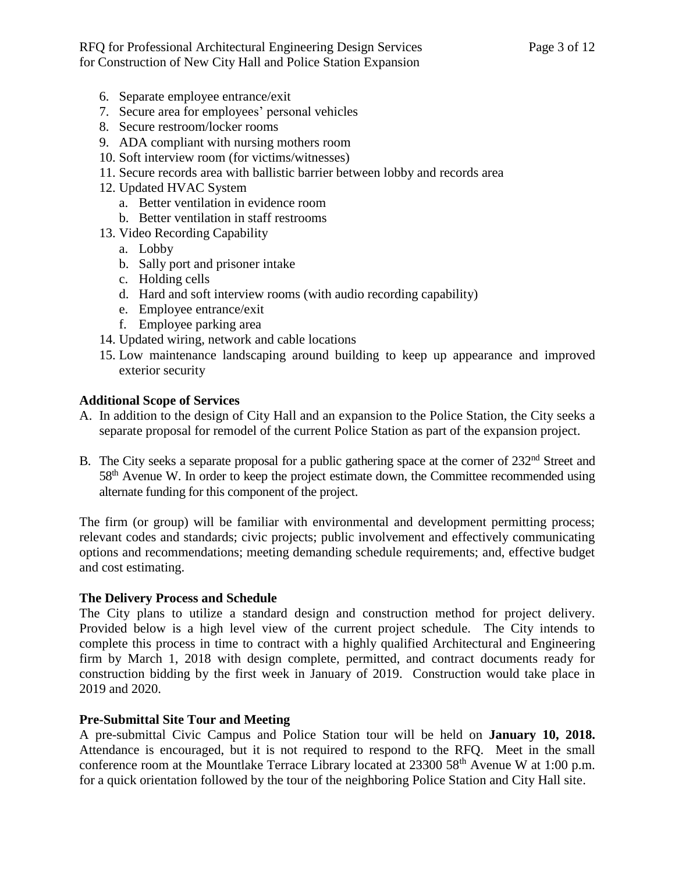- 6. Separate employee entrance/exit
- 7. Secure area for employees' personal vehicles
- 8. Secure restroom/locker rooms
- 9. ADA compliant with nursing mothers room
- 10. Soft interview room (for victims/witnesses)
- 11. Secure records area with ballistic barrier between lobby and records area
- 12. Updated HVAC System
	- a. Better ventilation in evidence room
	- b. Better ventilation in staff restrooms
- 13. Video Recording Capability
	- a. Lobby
	- b. Sally port and prisoner intake
	- c. Holding cells
	- d. Hard and soft interview rooms (with audio recording capability)
	- e. Employee entrance/exit
	- f. Employee parking area
- 14. Updated wiring, network and cable locations
- 15. Low maintenance landscaping around building to keep up appearance and improved exterior security

#### **Additional Scope of Services**

- A. In addition to the design of City Hall and an expansion to the Police Station, the City seeks a separate proposal for remodel of the current Police Station as part of the expansion project.
- B. The City seeks a separate proposal for a public gathering space at the corner of 232<sup>nd</sup> Street and 58<sup>th</sup> Avenue W. In order to keep the project estimate down, the Committee recommended using alternate funding for this component of the project.

The firm (or group) will be familiar with environmental and development permitting process; relevant codes and standards; civic projects; public involvement and effectively communicating options and recommendations; meeting demanding schedule requirements; and, effective budget and cost estimating.

#### **The Delivery Process and Schedule**

The City plans to utilize a standard design and construction method for project delivery. Provided below is a high level view of the current project schedule. The City intends to complete this process in time to contract with a highly qualified Architectural and Engineering firm by March 1, 2018 with design complete, permitted, and contract documents ready for construction bidding by the first week in January of 2019. Construction would take place in 2019 and 2020.

#### **Pre-Submittal Site Tour and Meeting**

A pre-submittal Civic Campus and Police Station tour will be held on **January 10, 2018.** Attendance is encouraged, but it is not required to respond to the RFQ. Meet in the small conference room at the Mountlake Terrace Library located at 23300 58<sup>th</sup> Avenue W at 1:00 p.m. for a quick orientation followed by the tour of the neighboring Police Station and City Hall site.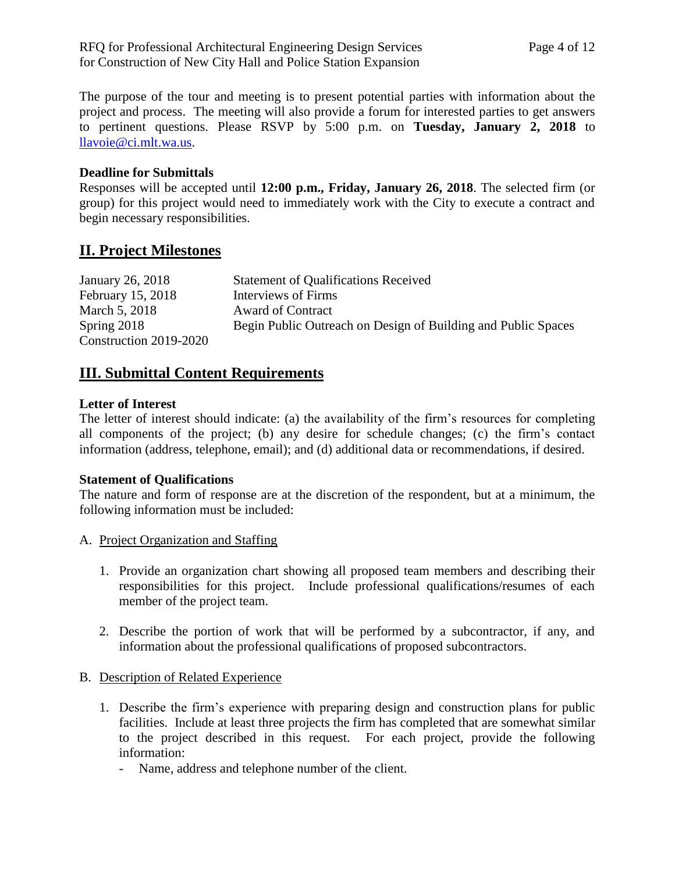The purpose of the tour and meeting is to present potential parties with information about the project and process. The meeting will also provide a forum for interested parties to get answers to pertinent questions. Please RSVP by 5:00 p.m. on **Tuesday, January 2, 2018** to [llavoie@ci.mlt.wa.us.](mailto:llavoie@ci.mlt.wa.us)

#### **Deadline for Submittals**

Responses will be accepted until **12:00 p.m., Friday, January 26, 2018**. The selected firm (or group) for this project would need to immediately work with the City to execute a contract and begin necessary responsibilities.

## **II. Project Milestones**

| January 26, 2018       | <b>Statement of Qualifications Received</b>                   |
|------------------------|---------------------------------------------------------------|
| February 15, 2018      | Interviews of Firms                                           |
| March 5, 2018          | Award of Contract                                             |
| Spring $2018$          | Begin Public Outreach on Design of Building and Public Spaces |
| Construction 2019-2020 |                                                               |

## **III. Submittal Content Requirements**

#### **Letter of Interest**

The letter of interest should indicate: (a) the availability of the firm's resources for completing all components of the project; (b) any desire for schedule changes; (c) the firm's contact information (address, telephone, email); and (d) additional data or recommendations, if desired.

#### **Statement of Qualifications**

The nature and form of response are at the discretion of the respondent, but at a minimum, the following information must be included:

- A. Project Organization and Staffing
	- 1. Provide an organization chart showing all proposed team members and describing their responsibilities for this project. Include professional qualifications/resumes of each member of the project team.
	- 2. Describe the portion of work that will be performed by a subcontractor, if any, and information about the professional qualifications of proposed subcontractors.
- B. Description of Related Experience
	- 1. Describe the firm's experience with preparing design and construction plans for public facilities. Include at least three projects the firm has completed that are somewhat similar to the project described in this request. For each project, provide the following information:
		- Name, address and telephone number of the client.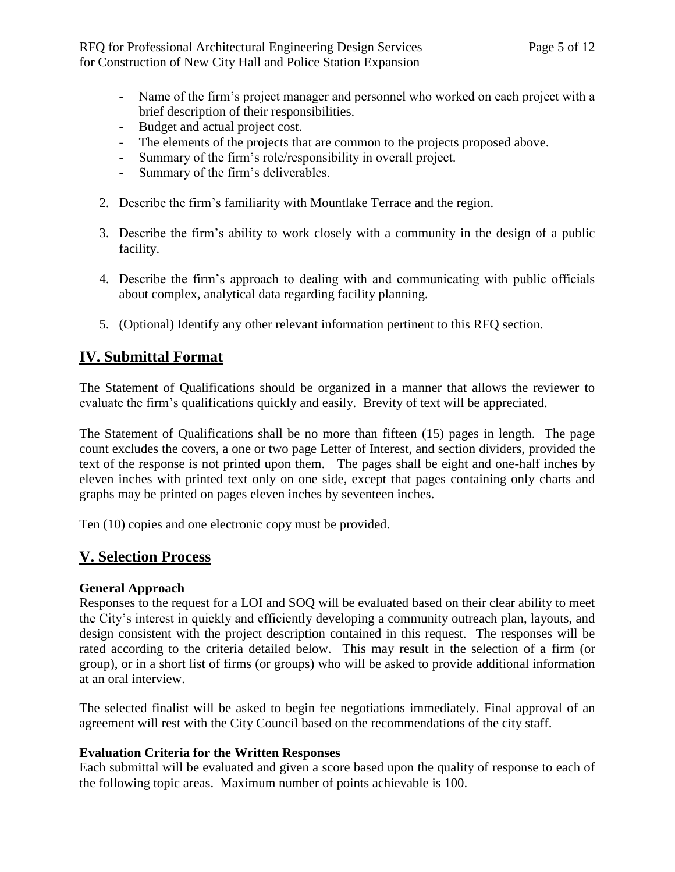- Name of the firm's project manager and personnel who worked on each project with a brief description of their responsibilities.
- Budget and actual project cost.
- The elements of the projects that are common to the projects proposed above.
- Summary of the firm's role/responsibility in overall project.
- Summary of the firm's deliverables.
- 2. Describe the firm's familiarity with Mountlake Terrace and the region.
- 3. Describe the firm's ability to work closely with a community in the design of a public facility.
- 4. Describe the firm's approach to dealing with and communicating with public officials about complex, analytical data regarding facility planning.
- 5. (Optional) Identify any other relevant information pertinent to this RFQ section.

## **IV. Submittal Format**

The Statement of Qualifications should be organized in a manner that allows the reviewer to evaluate the firm's qualifications quickly and easily. Brevity of text will be appreciated.

The Statement of Qualifications shall be no more than fifteen (15) pages in length. The page count excludes the covers, a one or two page Letter of Interest, and section dividers, provided the text of the response is not printed upon them. The pages shall be eight and one-half inches by eleven inches with printed text only on one side, except that pages containing only charts and graphs may be printed on pages eleven inches by seventeen inches.

Ten (10) copies and one electronic copy must be provided.

## **V. Selection Process**

#### **General Approach**

Responses to the request for a LOI and SOQ will be evaluated based on their clear ability to meet the City's interest in quickly and efficiently developing a community outreach plan, layouts, and design consistent with the project description contained in this request. The responses will be rated according to the criteria detailed below. This may result in the selection of a firm (or group), or in a short list of firms (or groups) who will be asked to provide additional information at an oral interview.

The selected finalist will be asked to begin fee negotiations immediately. Final approval of an agreement will rest with the City Council based on the recommendations of the city staff.

#### **Evaluation Criteria for the Written Responses**

Each submittal will be evaluated and given a score based upon the quality of response to each of the following topic areas. Maximum number of points achievable is 100.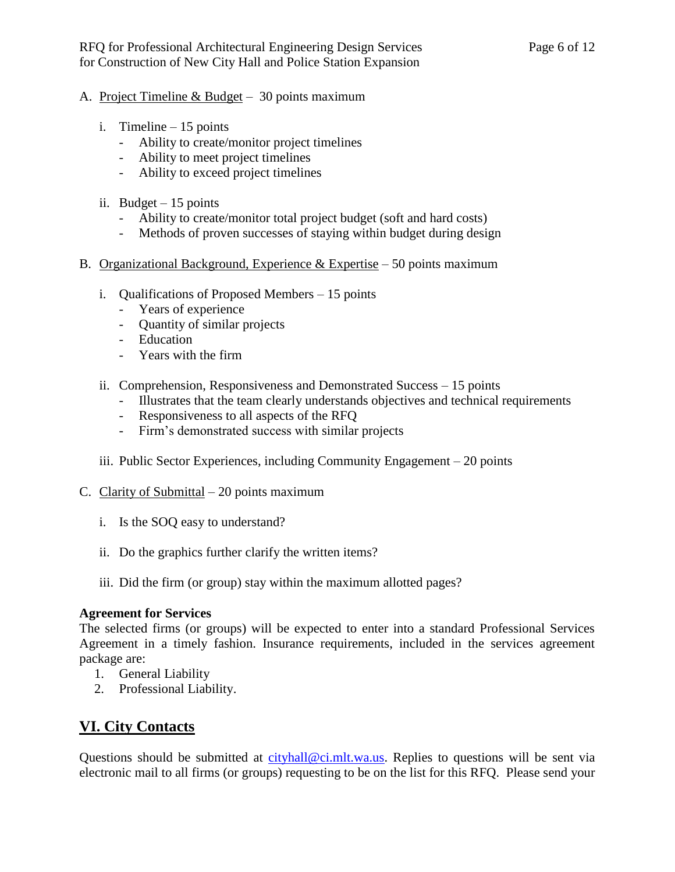- A. Project Timeline & Budget 30 points maximum
	- i. Timeline 15 points
		- Ability to create/monitor project timelines
		- Ability to meet project timelines
		- Ability to exceed project timelines
	- ii. Budget  $-15$  points
		- Ability to create/monitor total project budget (soft and hard costs)
		- Methods of proven successes of staying within budget during design
- B. Organizational Background, Experience  $&$  Expertise 50 points maximum
	- i. Qualifications of Proposed Members 15 points
		- Years of experience
		- Quantity of similar projects
		- Education
		- Years with the firm
	- ii. Comprehension, Responsiveness and Demonstrated Success 15 points
		- Illustrates that the team clearly understands objectives and technical requirements
		- Responsiveness to all aspects of the RFQ
		- Firm's demonstrated success with similar projects
	- iii. Public Sector Experiences, including Community Engagement 20 points
- C. Clarity of Submittal  $-20$  points maximum
	- i. Is the SOQ easy to understand?
	- ii. Do the graphics further clarify the written items?
	- iii. Did the firm (or group) stay within the maximum allotted pages?

#### **Agreement for Services**

The selected firms (or groups) will be expected to enter into a standard Professional Services Agreement in a timely fashion. Insurance requirements, included in the services agreement package are:

- 1. General Liability
- 2. Professional Liability.

## **VI. City Contacts**

Questions should be submitted at [cityhall@ci.mlt.wa.us.](mailto:cityhall@ci.mlt.wa.us) Replies to questions will be sent via electronic mail to all firms (or groups) requesting to be on the list for this RFQ. Please send your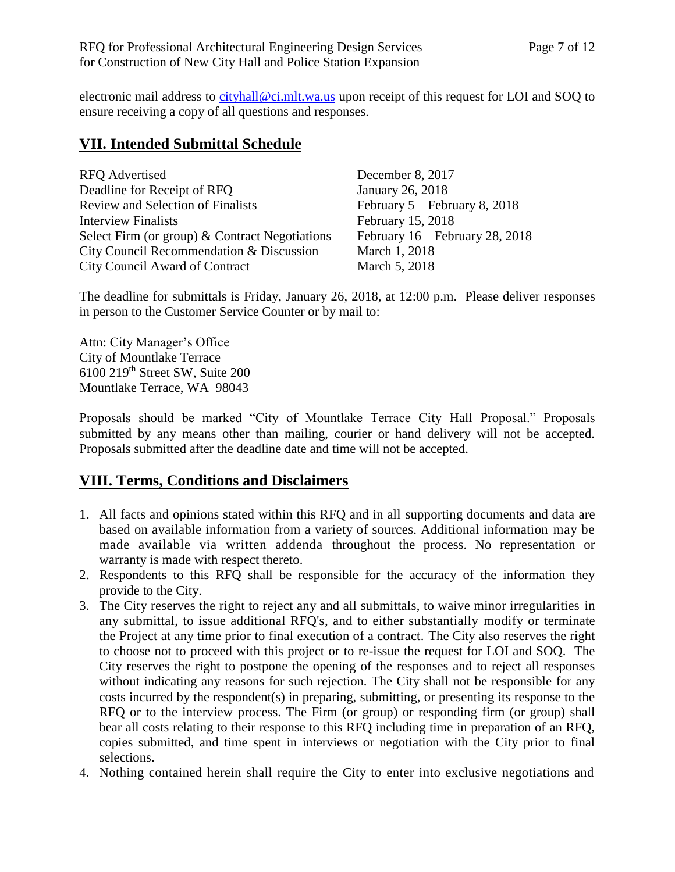electronic mail address to [cityhall@ci.mlt.wa.us](mailto:cityhall@ci.mlt.wa.us) upon receipt of this request for LOI and SOQ to ensure receiving a copy of all questions and responses.

## **VII. Intended Submittal Schedule**

| <b>RFQ</b> Advertised                            |
|--------------------------------------------------|
| Deadline for Receipt of RFQ                      |
| <b>Review and Selection of Finalists</b>         |
| <b>Interview Finalists</b>                       |
| Select Firm (or group) $&$ Contract Negotiations |
| City Council Recommendation & Discussion         |
| <b>City Council Award of Contract</b>            |

December 8, 2017 January 26, 2018 February  $5$  – February 8, 2018 February 15, 2018 February  $16$  – February 28, 2018 March 1, 2018 March 5, 2018

The deadline for submittals is Friday, January 26, 2018, at 12:00 p.m. Please deliver responses in person to the Customer Service Counter or by mail to:

Attn: City Manager's Office City of Mountlake Terrace 6100 219th Street SW, Suite 200 Mountlake Terrace, WA 98043

Proposals should be marked "City of Mountlake Terrace City Hall Proposal." Proposals submitted by any means other than mailing, courier or hand delivery will not be accepted. Proposals submitted after the deadline date and time will not be accepted.

## **VIII. Terms, Conditions and Disclaimers**

- 1. All facts and opinions stated within this RFQ and in all supporting documents and data are based on available information from a variety of sources. Additional information may be made available via written addenda throughout the process. No representation or warranty is made with respect thereto.
- 2. Respondents to this RFQ shall be responsible for the accuracy of the information they provide to the City.
- 3. The City reserves the right to reject any and all submittals, to waive minor irregularities in any submittal, to issue additional RFQ's, and to either substantially modify or terminate the Project at any time prior to final execution of a contract. The City also reserves the right to choose not to proceed with this project or to re-issue the request for LOI and SOQ. The City reserves the right to postpone the opening of the responses and to reject all responses without indicating any reasons for such rejection. The City shall not be responsible for any costs incurred by the respondent(s) in preparing, submitting, or presenting its response to the RFQ or to the interview process. The Firm (or group) or responding firm (or group) shall bear all costs relating to their response to this RFQ including time in preparation of an RFQ, copies submitted, and time spent in interviews or negotiation with the City prior to final selections.
- 4. Nothing contained herein shall require the City to enter into exclusive negotiations and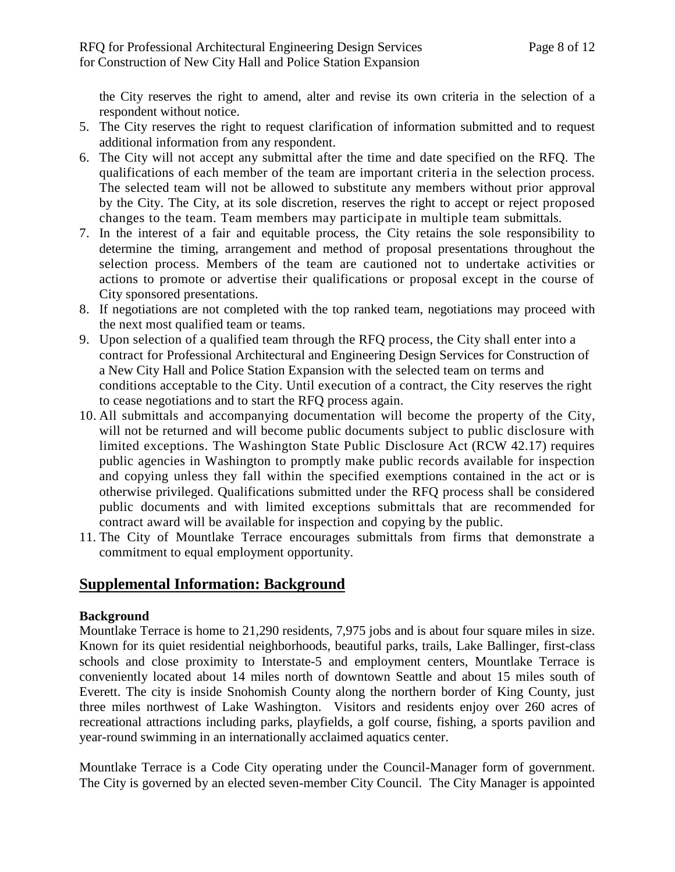the City reserves the right to amend, alter and revise its own criteria in the selection of a respondent without notice.

- 5. The City reserves the right to request clarification of information submitted and to request additional information from any respondent.
- 6. The City will not accept any submittal after the time and date specified on the RFQ. The qualifications of each member of the team are important criteria in the selection process. The selected team will not be allowed to substitute any members without prior approval by the City. The City, at its sole discretion, reserves the right to accept or reject proposed changes to the team. Team members may participate in multiple team submittals.
- 7. In the interest of a fair and equitable process, the City retains the sole responsibility to determine the timing, arrangement and method of proposal presentations throughout the selection process. Members of the team are cautioned not to undertake activities or actions to promote or advertise their qualifications or proposal except in the course of City sponsored presentations.
- 8. If negotiations are not completed with the top ranked team, negotiations may proceed with the next most qualified team or teams.
- 9. Upon selection of a qualified team through the RFQ process, the City shall enter into a contract for Professional Architectural and Engineering Design Services for Construction of a New City Hall and Police Station Expansion with the selected team on terms and conditions acceptable to the City. Until execution of a contract, the City reserves the right to cease negotiations and to start the RFQ process again.
- 10. All submittals and accompanying documentation will become the property of the City, will not be returned and will become public documents subject to public disclosure with limited exceptions. The Washington State Public Disclosure Act (RCW 42.17) requires public agencies in Washington to promptly make public records available for inspection and copying unless they fall within the specified exemptions contained in the act or is otherwise privileged. Qualifications submitted under the RFQ process shall be considered public documents and with limited exceptions submittals that are recommended for contract award will be available for inspection and copying by the public.
- 11. The City of Mountlake Terrace encourages submittals from firms that demonstrate a commitment to equal employment opportunity.

### **Supplemental Information: Background**

#### **Background**

Mountlake Terrace is home to 21,290 residents, 7,975 jobs and is about four square miles in size. Known for its quiet residential neighborhoods, beautiful parks, trails, Lake Ballinger, first-class schools and close proximity to Interstate-5 and employment centers, Mountlake Terrace is conveniently located about 14 miles north of downtown Seattle and about 15 miles south of Everett. The city is inside Snohomish County along the northern border of King County, just three miles northwest of Lake Washington. Visitors and residents enjoy over 260 acres of recreational attractions including parks, playfields, a golf course, fishing, a sports pavilion and year-round swimming in an internationally acclaimed aquatics center.

Mountlake Terrace is a Code City operating under the Council-Manager form of government. The City is governed by an elected seven-member City Council. The City Manager is appointed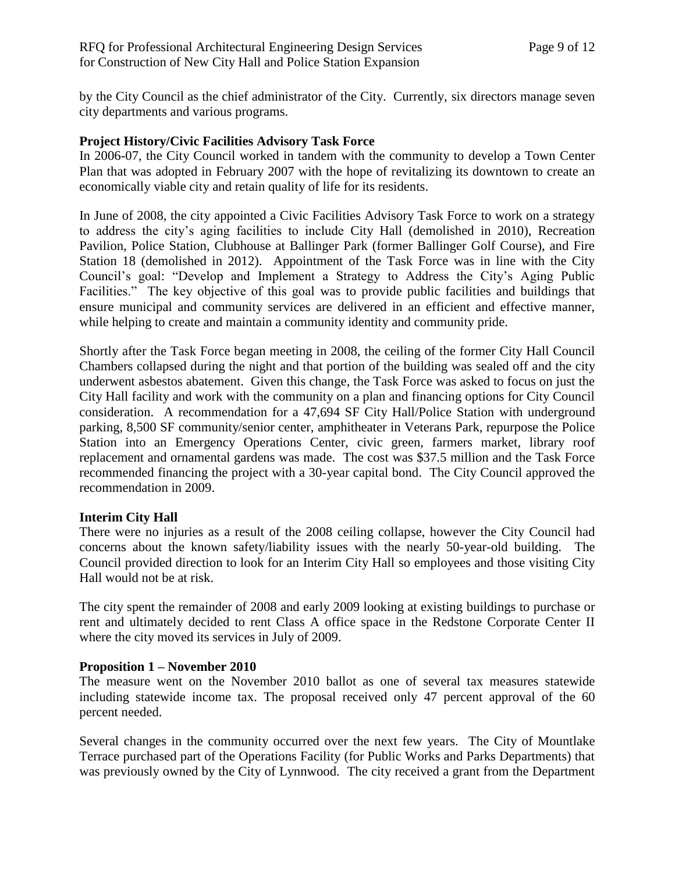by the City Council as the chief administrator of the City. Currently, six directors manage seven city departments and various programs.

#### **Project History/Civic Facilities Advisory Task Force**

In 2006-07, the City Council worked in tandem with the community to develop a Town Center Plan that was adopted in February 2007 with the hope of revitalizing its downtown to create an economically viable city and retain quality of life for its residents.

In June of 2008, the city appointed a Civic Facilities Advisory Task Force to work on a strategy to address the city's aging facilities to include City Hall (demolished in 2010), Recreation Pavilion, Police Station, Clubhouse at Ballinger Park (former Ballinger Golf Course), and Fire Station 18 (demolished in 2012). Appointment of the Task Force was in line with the City Council's goal: "Develop and Implement a Strategy to Address the City's Aging Public Facilities." The key objective of this goal was to provide public facilities and buildings that ensure municipal and community services are delivered in an efficient and effective manner, while helping to create and maintain a community identity and community pride.

Shortly after the Task Force began meeting in 2008, the ceiling of the former City Hall Council Chambers collapsed during the night and that portion of the building was sealed off and the city underwent asbestos abatement. Given this change, the Task Force was asked to focus on just the City Hall facility and work with the community on a plan and financing options for City Council consideration. A recommendation for a 47,694 SF City Hall/Police Station with underground parking, 8,500 SF community/senior center, amphitheater in Veterans Park, repurpose the Police Station into an Emergency Operations Center, civic green, farmers market, library roof replacement and ornamental gardens was made. The cost was \$37.5 million and the Task Force recommended financing the project with a 30-year capital bond. The City Council approved the recommendation in 2009.

#### **Interim City Hall**

There were no injuries as a result of the 2008 ceiling collapse, however the City Council had concerns about the known safety/liability issues with the nearly 50-year-old building. The Council provided direction to look for an Interim City Hall so employees and those visiting City Hall would not be at risk.

The city spent the remainder of 2008 and early 2009 looking at existing buildings to purchase or rent and ultimately decided to rent Class A office space in the Redstone Corporate Center II where the city moved its services in July of 2009.

#### **Proposition 1 – November 2010**

The measure went on the November 2010 ballot as one of several tax measures statewide including statewide income tax. The proposal received only 47 percent approval of the 60 percent needed.

Several changes in the community occurred over the next few years. The City of Mountlake Terrace purchased part of the Operations Facility (for Public Works and Parks Departments) that was previously owned by the City of Lynnwood. The city received a grant from the Department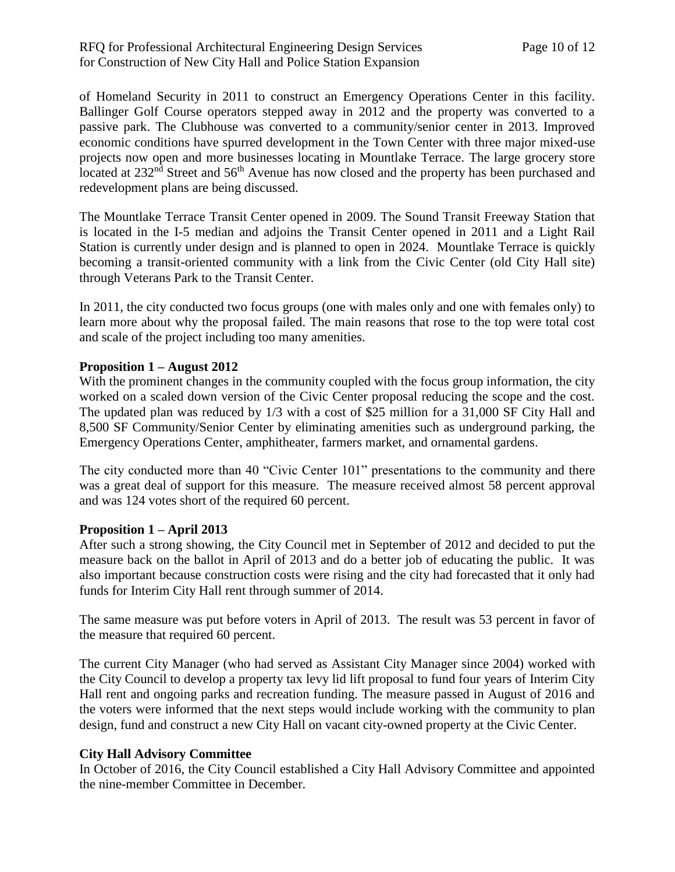#### RFQ for Professional Architectural Engineering Design Services Page 10 of 12 for Construction of New City Hall and Police Station Expansion

of Homeland Security in 2011 to construct an Emergency Operations Center in this facility. Ballinger Golf Course operators stepped away in 2012 and the property was converted to a passive park. The Clubhouse was converted to a community/senior center in 2013. Improved economic conditions have spurred development in the Town Center with three major mixed-use projects now open and more businesses locating in Mountlake Terrace. The large grocery store located at  $232<sup>nd</sup>$  Street and  $56<sup>th</sup>$  Avenue has now closed and the property has been purchased and redevelopment plans are being discussed.

The Mountlake Terrace Transit Center opened in 2009. The Sound Transit Freeway Station that is located in the I-5 median and adjoins the Transit Center opened in 2011 and a Light Rail Station is currently under design and is planned to open in 2024. Mountlake Terrace is quickly becoming a transit-oriented community with a link from the Civic Center (old City Hall site) through Veterans Park to the Transit Center.

In 2011, the city conducted two focus groups (one with males only and one with females only) to learn more about why the proposal failed. The main reasons that rose to the top were total cost and scale of the project including too many amenities.

#### **Proposition 1 – August 2012**

With the prominent changes in the community coupled with the focus group information, the city worked on a scaled down version of the Civic Center proposal reducing the scope and the cost. The updated plan was reduced by 1/3 with a cost of \$25 million for a 31,000 SF City Hall and 8,500 SF Community/Senior Center by eliminating amenities such as underground parking, the Emergency Operations Center, amphitheater, farmers market, and ornamental gardens.

The city conducted more than 40 "Civic Center 101" presentations to the community and there was a great deal of support for this measure. The measure received almost 58 percent approval and was 124 votes short of the required 60 percent.

#### **Proposition 1 – April 2013**

After such a strong showing, the City Council met in September of 2012 and decided to put the measure back on the ballot in April of 2013 and do a better job of educating the public. It was also important because construction costs were rising and the city had forecasted that it only had funds for Interim City Hall rent through summer of 2014.

The same measure was put before voters in April of 2013. The result was 53 percent in favor of the measure that required 60 percent.

The current City Manager (who had served as Assistant City Manager since 2004) worked with the City Council to develop a property tax levy lid lift proposal to fund four years of Interim City Hall rent and ongoing parks and recreation funding. The measure passed in August of 2016 and the voters were informed that the next steps would include working with the community to plan design, fund and construct a new City Hall on vacant city-owned property at the Civic Center.

#### **City Hall Advisory Committee**

In October of 2016, the City Council established a City Hall Advisory Committee and appointed the nine-member Committee in December.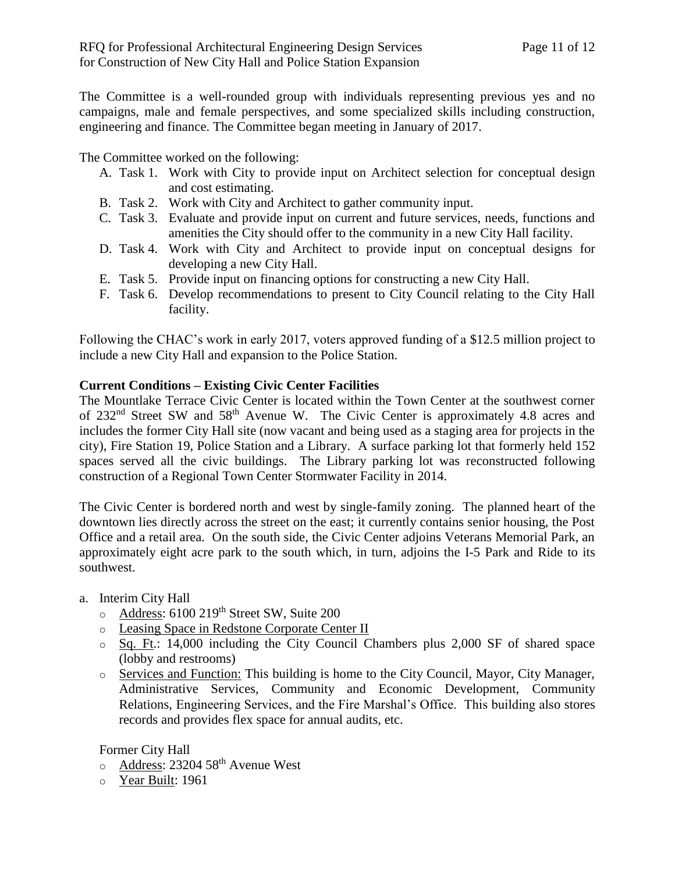The Committee is a well-rounded group with individuals representing previous yes and no campaigns, male and female perspectives, and some specialized skills including construction, engineering and finance. The Committee began meeting in January of 2017.

The Committee worked on the following:

- A. Task 1. Work with City to provide input on Architect selection for conceptual design and cost estimating.
- B. Task 2. Work with City and Architect to gather community input.
- C. Task 3. Evaluate and provide input on current and future services, needs, functions and amenities the City should offer to the community in a new City Hall facility.
- D. Task 4. Work with City and Architect to provide input on conceptual designs for developing a new City Hall.
- E. Task 5. Provide input on financing options for constructing a new City Hall.
- F. Task 6. Develop recommendations to present to City Council relating to the City Hall facility.

Following the CHAC's work in early 2017, voters approved funding of a \$12.5 million project to include a new City Hall and expansion to the Police Station.

#### **Current Conditions – Existing Civic Center Facilities**

The Mountlake Terrace Civic Center is located within the Town Center at the southwest corner of 232nd Street SW and 58th Avenue W. The Civic Center is approximately 4.8 acres and includes the former City Hall site (now vacant and being used as a staging area for projects in the city), Fire Station 19, Police Station and a Library. A surface parking lot that formerly held 152 spaces served all the civic buildings. The Library parking lot was reconstructed following construction of a Regional Town Center Stormwater Facility in 2014.

The Civic Center is bordered north and west by single-family zoning. The planned heart of the downtown lies directly across the street on the east; it currently contains senior housing, the Post Office and a retail area. On the south side, the Civic Center adjoins Veterans Memorial Park, an approximately eight acre park to the south which, in turn, adjoins the I-5 Park and Ride to its southwest.

#### a. Interim City Hall

- $\circ$  Address: 6100 219<sup>th</sup> Street SW, Suite 200
- o Leasing Space in Redstone Corporate Center II
- o Sq. Ft.: 14,000 including the City Council Chambers plus 2,000 SF of shared space (lobby and restrooms)
- o Services and Function: This building is home to the City Council, Mayor, City Manager, Administrative Services, Community and Economic Development, Community Relations, Engineering Services, and the Fire Marshal's Office. This building also stores records and provides flex space for annual audits, etc.

Former City Hall

- $\circ$  Address: 23204 58<sup>th</sup> Avenue West
- o Year Built: 1961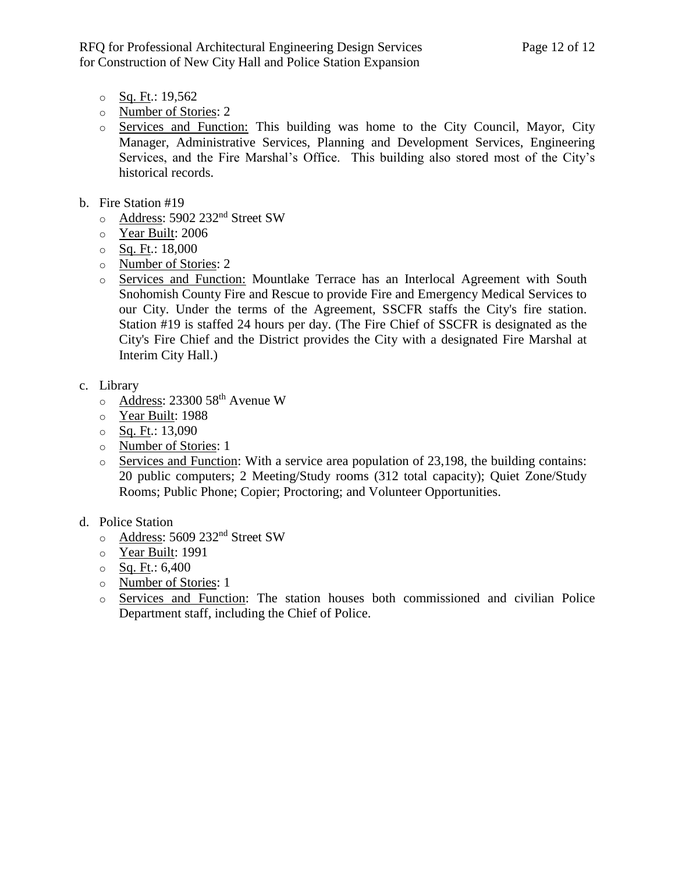- $\circ$  Sq. Ft.: 19,562
- o Number of Stories: 2
- o Services and Function: This building was home to the City Council, Mayor, City Manager, Administrative Services, Planning and Development Services, Engineering Services, and the Fire Marshal's Office. This building also stored most of the City's historical records.
- b. Fire Station #19
	- o Address: 5902 232nd Street SW
	- o Year Built: 2006
	- $\circ$  Sq. Ft.: 18,000
	- o Number of Stories: 2
	- o Services and Function: Mountlake Terrace has an Interlocal Agreement with South Snohomish County Fire and Rescue to provide Fire and Emergency Medical Services to our City. Under the terms of the Agreement, SSCFR staffs the City's fire station. Station #19 is staffed 24 hours per day. (The Fire Chief of SSCFR is designated as the City's Fire Chief and the District provides the City with a designated Fire Marshal at Interim City Hall.)
- c. Library
	- $\circ$  Address: 23300 58<sup>th</sup> Avenue W
	- o Year Built: 1988
	- $\circ$  Sq. Ft.: 13,090
	- o Number of Stories: 1
	- $\circ$  Services and Function: With a service area population of 23,198, the building contains: 20 public computers; 2 Meeting/Study rooms (312 total capacity); Quiet Zone/Study Rooms; Public Phone; Copier; Proctoring; and Volunteer Opportunities.
- d. Police Station
	- o Address: 5609 232nd Street SW
	- o Year Built: 1991
	- $\circ$  Sq. Ft.: 6,400
	- o Number of Stories: 1
	- o Services and Function: The station houses both commissioned and civilian Police Department staff, including the Chief of Police.